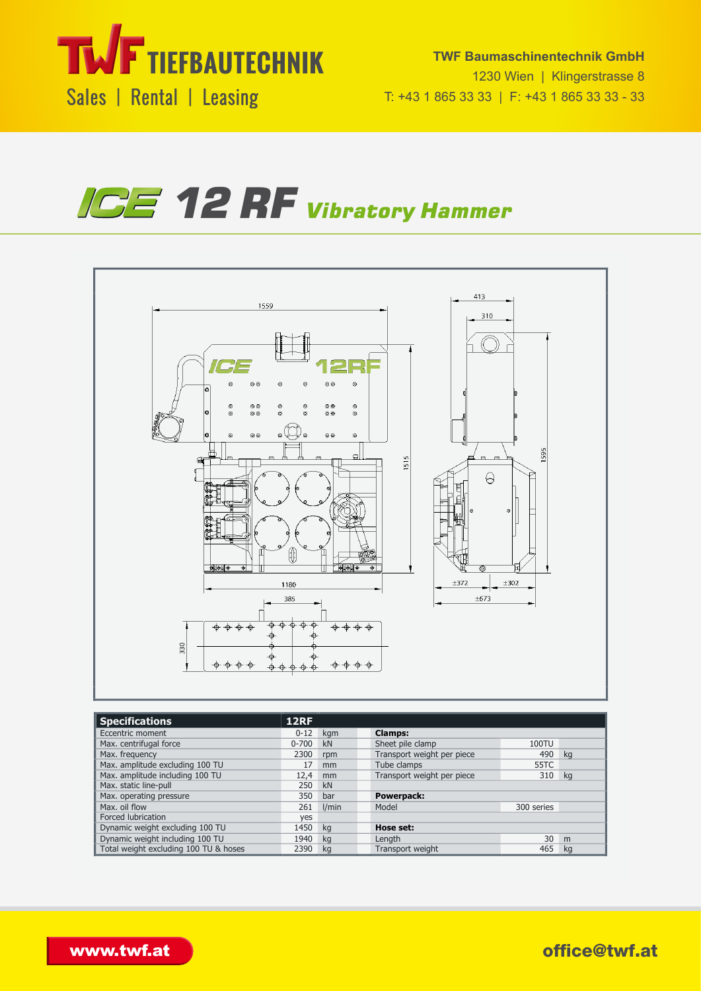

**TWF Baumaschinentechnik GmbH** 1230 Wien | Klingerstrasse 8 T: +43 1 865 33 33 | F: +43 1 865 33 33 - 33





| <b>Specifications</b>                 | 12RF      |       |                            |            |    |
|---------------------------------------|-----------|-------|----------------------------|------------|----|
| Eccentric moment                      | $0 - 12$  | kgm   | <b>Clamps:</b>             |            |    |
| Max. centrifugal force                | $0 - 700$ | kN    | Sheet pile clamp           | 100TU      |    |
| Max. frequency                        | 2300      | rpm   | Transport weight per piece | 490        | kg |
| Max. amplitude excluding 100 TU       | 17        | mm    | Tube clamps                | 55TC       |    |
| Max. amplitude including 100 TU       | 12,4      | mm    | Transport weight per piece | 310        | kg |
| Max. static line-pull                 | 250       | kN    |                            |            |    |
| Max. operating pressure               | 350       | bar   | Powerpack:                 |            |    |
| Max. oil flow                         | 261       | I/min | Model                      | 300 series |    |
| Forced lubrication                    | ves       |       |                            |            |    |
| Dynamic weight excluding 100 TU       | 1450      | kg    | Hose set:                  |            |    |
| Dynamic weight including 100 TU       | 1940      | ka    | Length                     | 30         | m  |
| Total weight excluding 100 TU & hoses | 2390      | ka    | Transport weight           | 465        | ka |

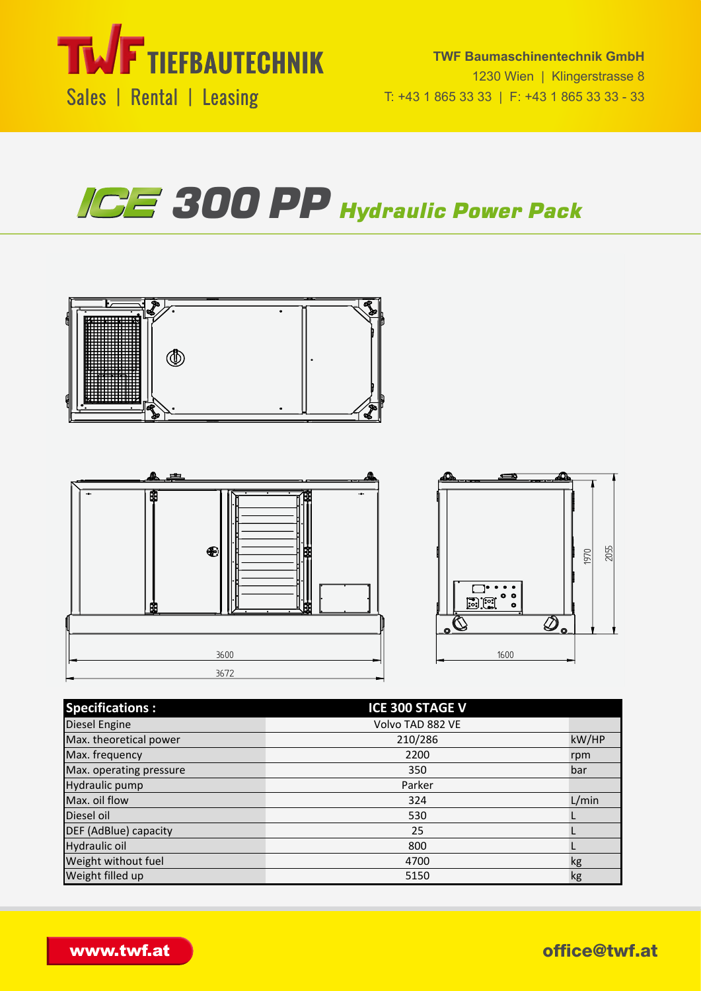







Hydraulic oil 800 million and 100 million and 100 million and 100 million and 100 million and 100 million and



| <b>Specifications:</b>  | <b>ICE 300 STAGE V</b> |       |
|-------------------------|------------------------|-------|
| Diesel Engine           | Volvo TAD 882 VE       |       |
| Max. theoretical power  | 210/286                | kW/HP |
| Max. frequency          | 2200                   | rpm   |
| Max. operating pressure | 350                    | bar   |
| Hydraulic pump          | Parker                 |       |
| Max. oil flow           | 324                    | L/min |
| Diesel oil              | 530                    |       |
| DEF (AdBlue) capacity   | 25                     |       |
| Hydraulic oil           | 800                    |       |
| Weight without fuel     | 4700                   | kg    |
| Weight filled up        | 5150                   | kg    |